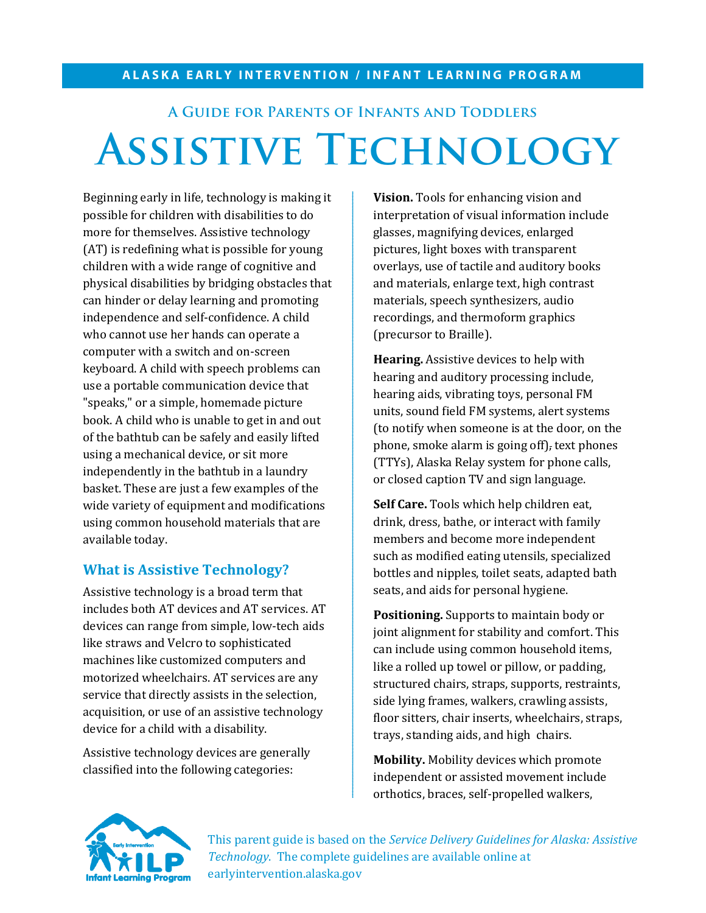#### **ALASKA EARLY INTERVENTION / INFANT LEARNING PROGRAM**

# **A Guide for Parents of Infants and Toddlers Assistive Technology**

Beginning early in life, technology is making it possible for children with disabilities to do more for themselves. Assistive technology (AT) is redefining what is possible for young children with a wide range of cognitive and physical disabilities by bridging obstacles that can hinder or delay learning and promoting independence and self-confidence. A child who cannot use her hands can operate a computer with a switch and on-screen keyboard. A child with speech problems can use a portable communication device that "speaks," or a simple, homemade picture book. A child who is unable to get in and out of the bathtub can be safely and easily lifted using a mechanical device, or sit more independently in the bathtub in a laundry basket. These are just a few examples of the wide variety of equipment and modifications using common household materials that are available today.

## **What is Assistive Technology?**

Assistive technology is a broad term that includes both AT devices and AT services. AT devices can range from simple, low-tech aids like straws and Velcro to sophisticated machines like customized computers and motorized wheelchairs. AT services are any service that directly assists in the selection, acquisition, or use of an assistive technology device for a child with a disability.

Assistive technology devices are generally classified into the following categories:

**Vision.** Tools for enhancing vision and interpretation of visual information include glasses, magnifying devices, enlarged pictures, light boxes with transparent overlays, use of tactile and auditory books and materials, enlarge text, high contrast materials, speech synthesizers, audio recordings, and thermoform graphics (precursor to Braille).

**Hearing.** Assistive devices to help with hearing and auditory processing include, hearing aids, vibrating toys, personal FM units, sound field FM systems, alert systems (to notify when someone is at the door, on the phone, smoke alarm is going off), text phones (TTYs), Alaska Relay system for phone calls, or closed caption TV and sign language.

**Self Care.** Tools which help children eat, drink, dress, bathe, or interact with family members and become more independent such as modified eating utensils, specialized bottles and nipples, toilet seats, adapted bath seats, and aids for personal hygiene.

**Positioning.** Supports to maintain body or joint alignment for stability and comfort. This can include using common household items, like a rolled up towel or pillow, or padding, structured chairs, straps, supports, restraints, side lying frames, walkers, crawling assists, floor sitters, chair inserts, wheelchairs, straps, trays, standing aids, and high chairs.

**Mobility.** Mobility devices which promote independent or assisted movement include orthotics, braces, self-propelled walkers,



This parent guide is based on the *Service Delivery Guidelines for Alaska: Assistive Technology*. The complete guidelines are available online at earlyintervention.alaska.gov